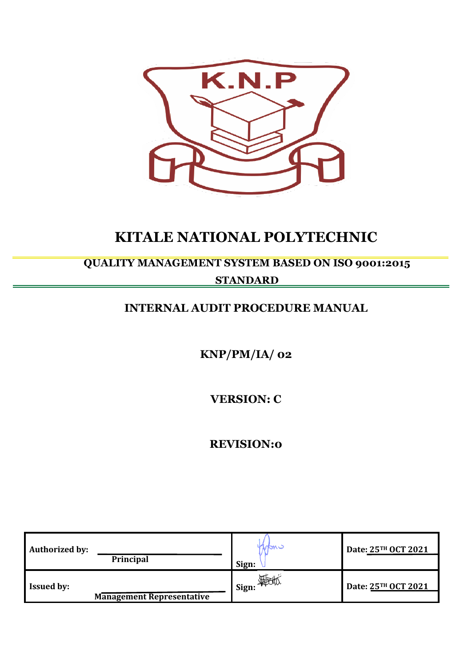

# **KITALE NATIONAL POLYTECHNIC**

## **QUALITY MANAGEMENT SYSTEM BASED ON ISO 9001:2015**

## **STANDARD**

## **INTERNAL AUDIT PROCEDURE MANUAL**

**KNP/PM/IA/ 02**

**VERSION: C**

**REVISION:0**

| <b>Authorized by:</b><br>Principal                    | npw -<br>Sign: | Date: 25TH OCT 2021 |
|-------------------------------------------------------|----------------|---------------------|
| <b>Issued by:</b><br><b>Management Representative</b> | Sign: 400      | Date: 25TH OCT 2021 |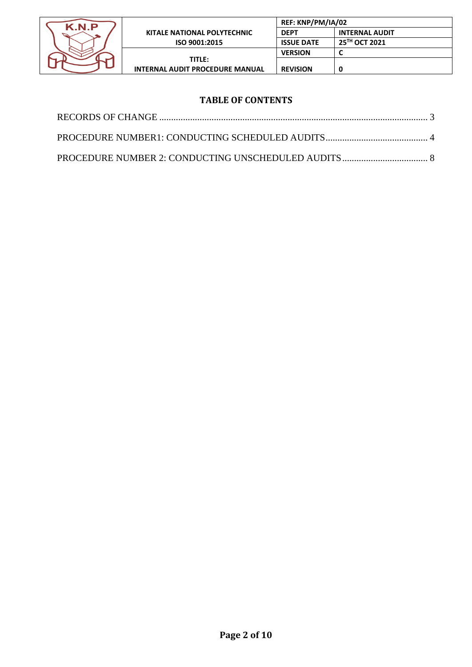

## **TABLE OF CONTENTS**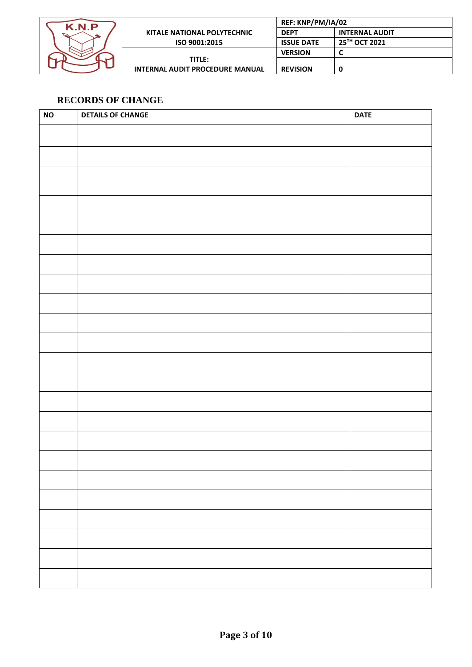

| Р |                                        | REF: KNP/PM/IA/02 |                       |
|---|----------------------------------------|-------------------|-----------------------|
| ➢ | KITALE NATIONAL POLYTECHNIC            | <b>DEPT</b>       | <b>INTERNAL AUDIT</b> |
|   | ISO 9001:2015                          | <b>ISSUE DATE</b> | 25TH OCT 2021         |
|   |                                        | <b>VERSION</b>    |                       |
|   | TITLE:                                 |                   |                       |
|   | <b>INTERNAL AUDIT PROCEDURE MANUAL</b> | <b>REVISION</b>   |                       |

## <span id="page-2-0"></span>**RECORDS OF CHANGE**

| <b>NO</b> | <b>DETAILS OF CHANGE</b> | <b>DATE</b> |
|-----------|--------------------------|-------------|
|           |                          |             |
|           |                          |             |
|           |                          |             |
|           |                          |             |
|           |                          |             |
|           |                          |             |
|           |                          |             |
|           |                          |             |
|           |                          |             |
|           |                          |             |
|           |                          |             |
|           |                          |             |
|           |                          |             |
|           |                          |             |
|           |                          |             |
|           |                          |             |
|           |                          |             |
|           |                          |             |
|           |                          |             |
|           |                          |             |
|           |                          |             |
|           |                          |             |
|           |                          |             |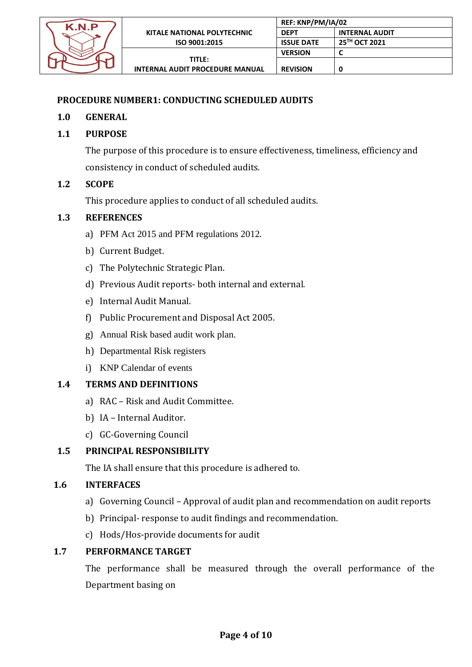

## <span id="page-3-0"></span>**PROCEDURE NUMBER1: CONDUCTING SCHEDULED AUDITS**

### **1.0 GENERAL**

## **1.1 PURPOSE**

The purpose of this procedure is to ensure effectiveness, timeliness, efficiency and consistency in conduct of scheduled audits.

### **1.2 SCOPE**

This procedure applies to conduct of all scheduled audits.

### **1.3 REFERENCES**

- a) PFM Act 2015 and PFM regulations 2012.
- b) Current Budget.
- c) The Polytechnic Strategic Plan.
- d) Previous Audit reports- both internal and external.
- e) Internal Audit Manual.
- f) Public Procurement and Disposal Act 2005.
- g) Annual Risk based audit work plan.
- h) Departmental Risk registers
- i) KNP Calendar of events

### **1.4 TERMS AND DEFINITIONS**

- a) RAC Risk and Audit Committee.
- b) IA Internal Auditor.
- c) GC-Governing Council

### **1.5 PRINCIPAL RESPONSIBILITY**

The IA shall ensure that this procedure is adhered to.

### **1.6 INTERFACES**

- a) Governing Council Approval of audit plan and recommendation on audit reports
- b) Principal- response to audit findings and recommendation.
- c) Hods/Hos-provide documents for audit

### **1.7 PERFORMANCE TARGET**

The performance shall be measured through the overall performance of the Department basing on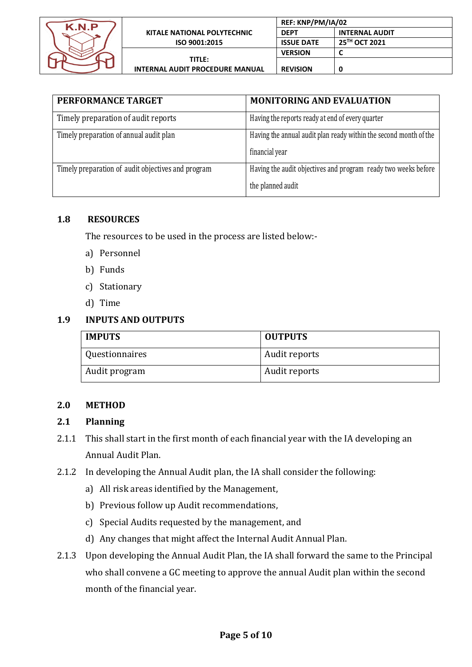

|                                        | REF: KNP/PM/IA/02 |                       |
|----------------------------------------|-------------------|-----------------------|
| KITALE NATIONAL POLYTECHNIC            | <b>DEPT</b>       | <b>INTERNAL AUDIT</b> |
| ISO 9001:2015                          | <b>ISSUE DATE</b> | 25TH OCT 2021         |
|                                        | <b>VERSION</b>    |                       |
| TITLE:                                 |                   |                       |
| <b>INTERNAL AUDIT PROCEDURE MANUAL</b> | <b>REVISION</b>   | 0                     |

| PERFORMANCE TARGET                                 | <b>MONITORING AND EVALUATION</b>                                  |
|----------------------------------------------------|-------------------------------------------------------------------|
| Timely preparation of audit reports                | Having the reports ready at end of every quarter                  |
| Timely preparation of annual audit plan            | Having the annual audit plan ready within the second month of the |
|                                                    | financial year                                                    |
| Timely preparation of audit objectives and program | Having the audit objectives and program ready two weeks before    |
|                                                    | the planned audit                                                 |

## **1.8 RESOURCES**

The resources to be used in the process are listed below:-

- a) Personnel
- b) Funds
- c) Stationary
- d) Time

## **1.9 INPUTS AND OUTPUTS**

| <b>IMPUTS</b>  | <b>OUTPUTS</b> |
|----------------|----------------|
| Questionnaires | Audit reports  |
| Audit program  | Audit reports  |

### **2.0 METHOD**

## **2.1 Planning**

- 2.1.1 This shall start in the first month of each financial year with the IA developing an Annual Audit Plan.
- 2.1.2 In developing the Annual Audit plan, the IA shall consider the following:
	- a) All risk areas identified by the Management,
	- b) Previous follow up Audit recommendations,
	- c) Special Audits requested by the management, and
	- d) Any changes that might affect the Internal Audit Annual Plan.
- 2.1.3 Upon developing the Annual Audit Plan, the IA shall forward the same to the Principal who shall convene a GC meeting to approve the annual Audit plan within the second month of the financial year.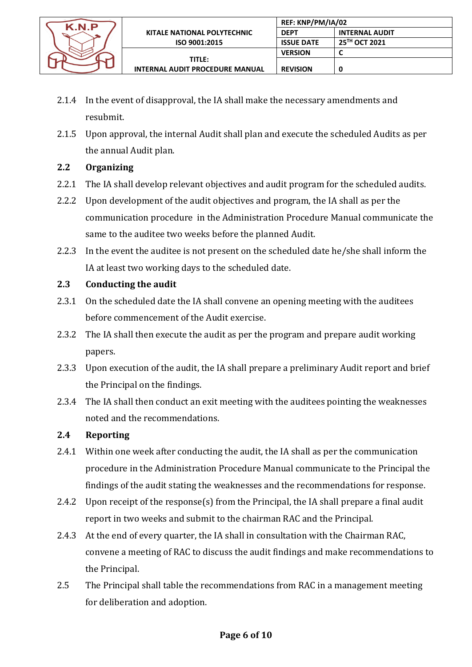

- 2.1.4 In the event of disapproval, the IA shall make the necessary amendments and resubmit.
- 2.1.5 Upon approval, the internal Audit shall plan and execute the scheduled Audits as per the annual Audit plan.

## **2.2 Organizing**

- 2.2.1 The IA shall develop relevant objectives and audit program for the scheduled audits.
- 2.2.2 Upon development of the audit objectives and program, the IA shall as per the communication procedure in the Administration Procedure Manual communicate the same to the auditee two weeks before the planned Audit.
- 2.2.3 In the event the auditee is not present on the scheduled date he/she shall inform the IA at least two working days to the scheduled date.

## **2.3 Conducting the audit**

- 2.3.1 On the scheduled date the IA shall convene an opening meeting with the auditees before commencement of the Audit exercise.
- 2.3.2 The IA shall then execute the audit as per the program and prepare audit working papers.
- 2.3.3 Upon execution of the audit, the IA shall prepare a preliminary Audit report and brief the Principal on the findings.
- 2.3.4 The IA shall then conduct an exit meeting with the auditees pointing the weaknesses noted and the recommendations.

## **2.4 Reporting**

- 2.4.1 Within one week after conducting the audit, the IA shall as per the communication procedure in the Administration Procedure Manual communicate to the Principal the findings of the audit stating the weaknesses and the recommendations for response.
- 2.4.2 Upon receipt of the response(s) from the Principal, the IA shall prepare a final audit report in two weeks and submit to the chairman RAC and the Principal.
- 2.4.3 At the end of every quarter, the IA shall in consultation with the Chairman RAC, convene a meeting of RAC to discuss the audit findings and make recommendations to the Principal.
- 2.5 The Principal shall table the recommendations from RAC in a management meeting for deliberation and adoption.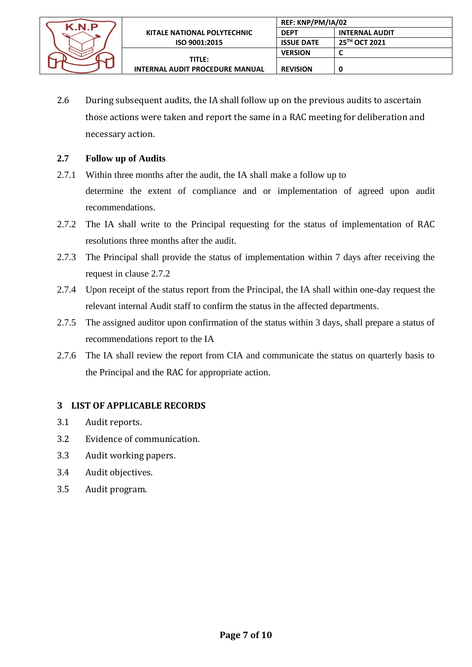

2.6 During subsequent audits, the IA shall follow up on the previous audits to ascertain those actions were taken and report the same in a RAC meeting for deliberation and necessary action.

## **2.7 Follow up of Audits**

- 2.7.1 Within three months after the audit, the IA shall make a follow up to determine the extent of compliance and or implementation of agreed upon audit recommendations.
- 2.7.2 The IA shall write to the Principal requesting for the status of implementation of RAC resolutions three months after the audit.
- 2.7.3 The Principal shall provide the status of implementation within 7 days after receiving the request in clause 2.7.2
- 2.7.4 Upon receipt of the status report from the Principal, the IA shall within one-day request the relevant internal Audit staff to confirm the status in the affected departments.
- 2.7.5 The assigned auditor upon confirmation of the status within 3 days, shall prepare a status of recommendations report to the IA
- 2.7.6 The IA shall review the report from CIA and communicate the status on quarterly basis to the Principal and the RAC for appropriate action.

### **3 LIST OF APPLICABLE RECORDS**

- 3.1 Audit reports.
- 3.2 Evidence of communication.
- 3.3 Audit working papers.
- 3.4 Audit objectives.
- 3.5 Audit program.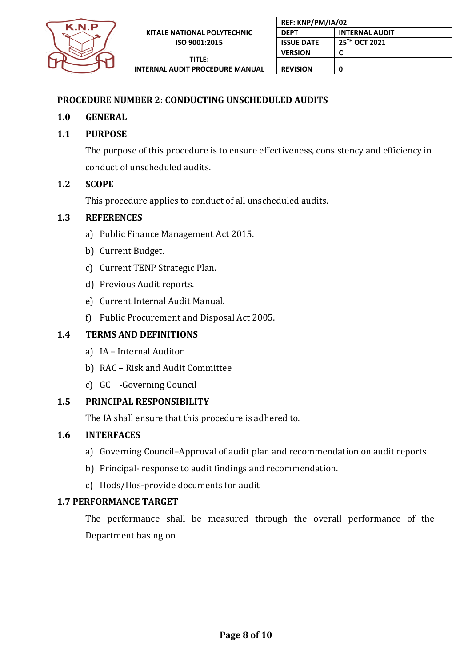

## <span id="page-7-0"></span>**PROCEDURE NUMBER 2: CONDUCTING UNSCHEDULED AUDITS**

## **1.0 GENERAL**

## **1.1 PURPOSE**

The purpose of this procedure is to ensure effectiveness, consistency and efficiency in conduct of unscheduled audits.

### **1.2 SCOPE**

This procedure applies to conduct of all unscheduled audits.

### **1.3 REFERENCES**

- a) Public Finance Management Act 2015.
- b) Current Budget.
- c) Current TENP Strategic Plan.
- d) Previous Audit reports.
- e) Current Internal Audit Manual.
- f) Public Procurement and Disposal Act 2005.

## **1.4 TERMS AND DEFINITIONS**

- a) IA Internal Auditor
- b) RAC Risk and Audit Committee
- c) GC -Governing Council

### **1.5 PRINCIPAL RESPONSIBILITY**

The IA shall ensure that this procedure is adhered to.

### **1.6 INTERFACES**

- a) Governing Council–Approval of audit plan and recommendation on audit reports
- b) Principal- response to audit findings and recommendation.
- c) Hods/Hos-provide documents for audit

## **1.7 PERFORMANCE TARGET**

The performance shall be measured through the overall performance of the Department basing on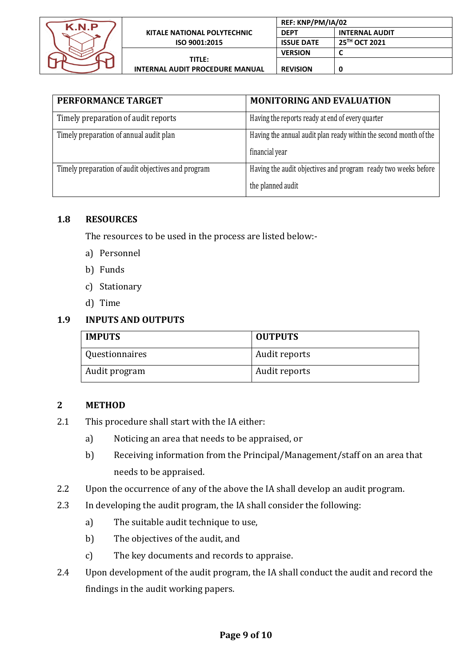

| REF: KNP/PM/IA/02                      |                   |                       |
|----------------------------------------|-------------------|-----------------------|
| KITALE NATIONAL POLYTECHNIC            | <b>DEPT</b>       | <b>INTERNAL AUDIT</b> |
| ISO 9001:2015                          | <b>ISSUE DATE</b> | 25TH OCT 2021         |
|                                        | <b>VERSION</b>    |                       |
| <b>TITLE:</b>                          |                   |                       |
| <b>INTERNAL AUDIT PROCEDURE MANUAL</b> | <b>REVISION</b>   | 0                     |

| PERFORMANCE TARGET                                 | <b>MONITORING AND EVALUATION</b>                                  |
|----------------------------------------------------|-------------------------------------------------------------------|
| Timely preparation of audit reports                | Having the reports ready at end of every quarter                  |
| Timely preparation of annual audit plan            | Having the annual audit plan ready within the second month of the |
|                                                    | financial year                                                    |
| Timely preparation of audit objectives and program | Having the audit objectives and program ready two weeks before    |
|                                                    | the planned audit                                                 |

### **1.8 RESOURCES**

The resources to be used in the process are listed below:-

- a) Personnel
- b) Funds
- c) Stationary
- d) Time

## **1.9 INPUTS AND OUTPUTS**

| <b>IMPUTS</b>  | <b>OUTPUTS</b> |
|----------------|----------------|
| Questionnaires | Audit reports  |
| Audit program  | Audit reports  |

## **2 METHOD**

- 2.1 This procedure shall start with the IA either:
	- a) Noticing an area that needs to be appraised, or
	- b) Receiving information from the Principal/Management/staff on an area that needs to be appraised.
- 2.2 Upon the occurrence of any of the above the IA shall develop an audit program.
- 2.3 In developing the audit program, the IA shall consider the following:
	- a) The suitable audit technique to use,
	- b) The objectives of the audit, and
	- c) The key documents and records to appraise.
- 2.4 Upon development of the audit program, the IA shall conduct the audit and record the findings in the audit working papers.